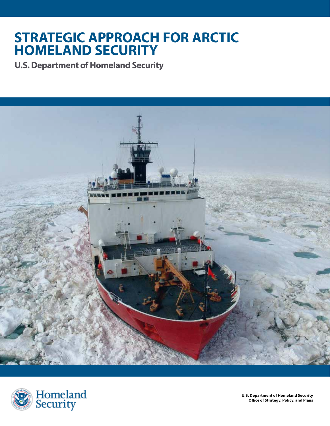### **STRATEGIC APPROACH FOR ARCTIC HOMELAND SECURITY**

**U.S.Department of Homeland Security** 





**U.S. Department of Homeland Security Office of Strategy, Policy, and Plans**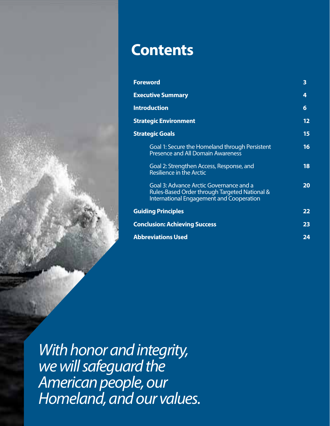

<sup>2</sup>**Strategic Approach for Arctic Homeland Security U.S. Department of Homeland Security**

| <b>Foreword</b>                                                                                                                             | 3  |
|---------------------------------------------------------------------------------------------------------------------------------------------|----|
| <b>Executive Summary</b>                                                                                                                    | 4  |
| <b>Introduction</b>                                                                                                                         | 6  |
| <b>Strategic Environment</b>                                                                                                                | 12 |
| <b>Strategic Goals</b>                                                                                                                      | 15 |
| Goal 1: Secure the Homeland through Persistent<br><b>Presence and All Domain Awareness</b>                                                  | 16 |
| Goal 2: Strengthen Access, Response, and<br><b>Resilience in the Arctic</b>                                                                 | 18 |
| Goal 3: Advance Arctic Governance and a<br>Rules-Based Order through Targeted National &<br><b>International Engagement and Cooperation</b> | 20 |
| <b>Guiding Principles</b>                                                                                                                   | 22 |
| <b>Conclusion: Achieving Success</b>                                                                                                        | 23 |
| <b>Abbreviations Used</b>                                                                                                                   | 24 |

 $\alpha$ ican noonlo quisory is explanatory the force of law. It does not supplement or modify statutory authorities,  $\alpha$ Executive Orders, or regulations. It is not intended to be, nor should it be interpreted as, comprehensive or as imposing requirements under U.S. law, drawing any legal conclusions about specifc fact scenarios regarding particular businesses or entities, or otherwise addressing any particular requirements under applicable law. *With honor and integrity, we will safeguard the American people, our Homeland, and our values.*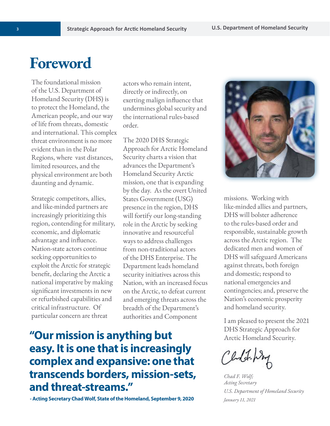### **Foreword**

The foundational mission of the U.S. Department of Homeland Security (DHS) is to protect the Homeland, the American people, and our way of life from threats, domestic and international. This complex threat environment is no more evident than in the Polar Regions, where vast distances, limited resources, and the physical environment are both daunting and dynamic.

Strategic competitors, allies, and like-minded partners are increasingly prioritizing this region, contending for military, economic, and diplomatic advantage and influence. Nation-state actors continue seeking opportunities to exploit the Arctic for strategic benefit, declaring the Arctic a national imperative by making significant investments in new or refurbished capabilities and critical infrastructure. Of particular concern are threat

actors who remain intent, directly or indirectly, on exerting malign influence that undermines global security and the international rules-based order.

The 2020 DHS Strategic Approach for Arctic Homeland Security charts a vision that advances the Department's Homeland Security Arctic mission, one that is expanding by the day. As the overt United States Government (USG) presence in the region, DHS will fortify our long-standing role in the Arctic by seeking innovative and resourceful ways to address challenges from non-traditional actors of the DHS Enterprise. The Department leads homeland security initiatives across this Nation, with an increased focus on the Arctic, to defeat current and emerging threats across the breadth of the Department's authorities and Component

### **"Our mission is anything but easy. It is one that is increasingly complex and expansive: one that transcends borders, mission-sets, and threat-streams."**

**- Acting Secretary Chad Wolf, State of the Homeland, September 9, 2020** 



missions. Working with like-minded allies and partners, DHS will bolster adherence to the rules-based order and responsible, sustainable growth across the Arctic region. The dedicated men and women of DHS will safeguard Americans against threats, both foreign and domestic; respond to national emergencies and contingencies; and, preserve the Nation's economic prosperity and homeland security.

I am pleased to present the 2021 DHS Strategic Approach for Arctic Homeland Security.

Cludet. Way

*Chad F. Wolf; Acting Secretary U.S. Department of Homeland Security January 11, 2021*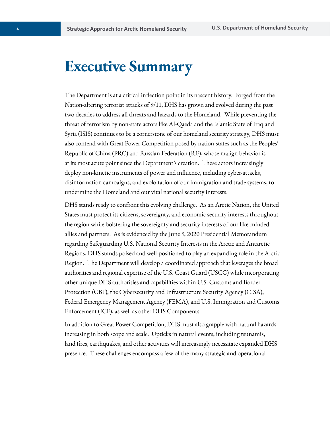### **Executive Summary**

The Department is at a critical inflection point in its nascent history. Forged from the Nation-altering terrorist attacks of 9/11, DHS has grown and evolved during the past two decades to address all threats and hazards to the Homeland. While preventing the threat of terrorism by non-state actors like Al-Qaeda and the Islamic State of Iraq and Syria (ISIS) continues to be a cornerstone of our homeland security strategy, DHS must also contend with Great Power Competition posed by nation-states such as the Peoples' Republic of China (PRC) and Russian Federation (RF), whose malign behavior is at its most acute point since the Department's creation. These actors increasingly deploy non-kinetic instruments of power and influence, including cyber-attacks, disinformation campaigns, and exploitation of our immigration and trade systems, to undermine the Homeland and our vital national security interests.

DHS stands ready to confront this evolving challenge. As an Arctic Nation, the United States must protect its citizens, sovereignty, and economic security interests throughout the region while bolstering the sovereignty and security interests of our like-minded allies and partners. As is evidenced by the June 9, 2020 Presidential Memorandum regarding Safeguarding U.S. National Security Interests in the Arctic and Antarctic Regions, DHS stands poised and well-positioned to play an expanding role in the Arctic Region. The Department will develop a coordinated approach that leverages the broad authorities and regional expertise of the U.S. Coast Guard (USCG) while incorporating other unique DHS authorities and capabilities within U.S. Customs and Border Protection (CBP), the Cybersecurity and Infrastructure Security Agency (CISA), Federal Emergency Management Agency (FEMA), and U.S. Immigration and Customs Enforcement (ICE), as well as other DHS Components.

In addition to Great Power Competition, DHS must also grapple with natural hazards increasing in both scope and scale. Upticks in natural events, including tsunamis, land fires, earthquakes, and other activities will increasingly necessitate expanded DHS presence. These challenges encompass a few of the many strategic and operational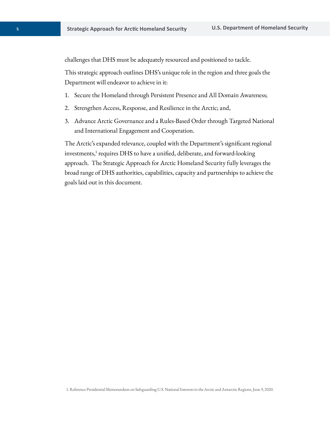challenges that DHS must be adequately resourced and positioned to tackle.

This strategic approach outlines DHS's unique role in the region and three goals the Department will endeavor to achieve in it:

- 1. Secure the Homeland through Persistent Presence and All Domain Awareness;
- 2. Strengthen Access, Response, and Resilience in the Arctic; and,
- 3. Advance Arctic Governance and a Rules-Based Order through Targeted National and International Engagement and Cooperation.

The Arctic's expanded relevance, coupled with the Department's significant regional investments,<sup>1</sup> requires DHS to have a unified, deliberate, and forward-looking approach. The Strategic Approach for Arctic Homeland Security fully leverages the broad range of DHS authorities, capabilities, capacity and partnerships to achieve the goals laid out in this document.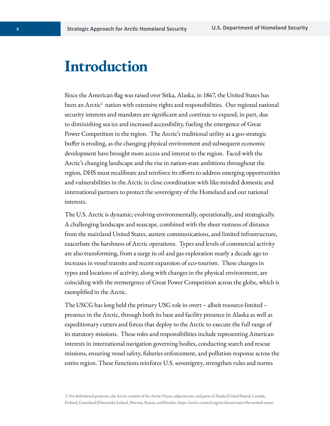### **Introduction**

Since the American flag was raised over Sitka, Alaska, in 1867, the United States has been an Arctic<sup>2</sup> nation with extensive rights and responsibilities. Our regional national security interests and mandates are significant and continue to expand, in part, due to diminishing sea ice and increased accessibility, fueling the emergence of Great Power Competition in the region. The Arctic's traditional utility as a geo-strategic buffer is eroding, as the changing physical environment and subsequent economic development have brought more access and interest to the region. Faced with the Arctic's changing landscape and the rise in nation-state ambitions throughout the region, DHS must recalibrate and reinforce its efforts to address emerging opportunities and vulnerabilities in the Arctic in close coordination with like-minded domestic and international partners to protect the sovereignty of the Homeland and our national interests.

The U.S. Arctic is dynamic; evolving environmentally, operationally, and strategically. A challenging landscape and seascape, combined with the sheer vastness of distance from the mainland United States, austere communications, and limited infrastructure, exacerbate the harshness of Arctic operations. Types and levels of commercial activity are also transforming, from a surge in oil and gas exploration nearly a decade ago to increases in vessel transits and recent expansion of eco-tourism. These changes in types and locations of activity, along with changes in the physical environment, are coinciding with the reemergence of Great Power Competition across the globe, which is exemplified in the Arctic. 

The USCG has long held the primary USG role in overt – albeit resource-limited – presence in the Arctic, through both its base and facility presence in Alaska as well as expeditionary cutters and forces that deploy to the Arctic to execute the full range of its statutory missions. These roles and responsibilities include representing American interests in international navigation governing bodies, conducting search and rescue missions, ensuring vessel safety, fisheries enforcement, and pollution response across the entire region. These functions reinforce U.S. sovereignty, strengthen rules and norms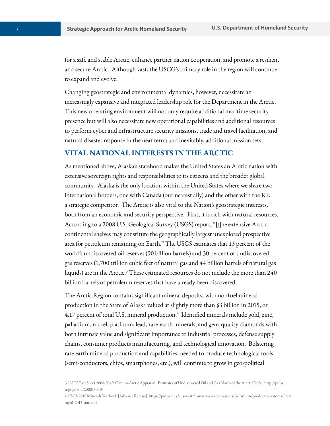for a safe and stable Arctic, enhance partner nation cooperation, and promote a resilient and secure Arctic. Although vast, the USCG's primary role in the region will continue to expand and evolve.

Changing geostrategic and environmental dynamics, however, necessitate an increasingly expansive and integrated leadership role for the Department in the Arctic. This new operating environment will not only require additional maritime security presence but will also necessitate new operational capabilities and additional resources to perform cyber and infrastructure security missions, trade and travel facilitation, and natural disaster response in the near term; and inevitably, additional mission sets.

#### **VITAL NATIONAL INTERESTS IN THE ARCTIC**

As mentioned above, Alaska's statehood makes the United States an Arctic nation with extensive sovereign rights and responsibilities to its citizens and the broader global community. Alaska is the only location within the United States where we share two international borders, one with Canada (our nearest ally) and the other with the RF, a strategic competitor. The Arctic is also vital to the Nation's geostrategic interests, both from an economic and security perspective. First, it is rich with natural resources. According to a 2008 U.S. Geological Survey (USGS) report, "[t]he extensive Arctic continental shelves may constitute the geographically largest unexplored prospective area for petroleum remaining on Earth." The USGS estimates that 13 percent of the world's undiscovered oil reserves (90 billion barrels) and 30 percent of undiscovered gas reserves (1,700 trillion cubic feet of natural gas and 44 billion barrels of natural gas liquids) are in the Arctic. $3$  These estimated resources do not include the more than 240 billion barrels of petroleum reserves that have already been discovered.

The Arctic Region contains significant mineral deposits, with nonfuel mineral production in the State of Alaska valued at slightly more than \$3 billion in 2015, or 4.17 percent of total U.S. mineral production.<sup>4</sup> Identified minerals include gold, zinc, palladium, nickel, platinum, lead, rare-earth minerals, and gem-quality diamonds with both intrinsic value and significant importance to industrial processes, defense supply chains, consumer products manufacturing, and technological innovation. Bolstering rare earth mineral production and capabilities, needed to produce technological tools (semi-conductors, chips, smartphones, etc.), will continue to grow in geo-political

3. USGS Fact Sheet 2008-3049: Circum-Arctic Appraisal: Estimates of Undiscovered Oil and Gas North of the Arctic Circle. <http://pubs>. [usgs.gov/fs/2008/3049/](https://usgs.gov/fs/2008/3049) 

4.USGS 2015 Minerals Yearbook [Advance Release],<https://prd-wret.s3-us-west> [2.amazonaws.com/assets/palladium/production/atoms/files/](https://2.amazonaws.com/assets/palladium/production/atoms/files) myb1-2015-stati.pdf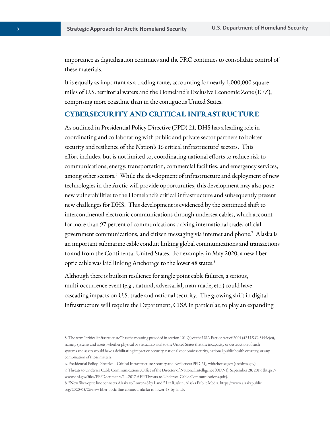importance as digitalization continues and the PRC continues to consolidate control of these materials.

It is equally as important as a trading route, accounting for nearly 1,000,000 square miles of U.S. territorial waters and the Homeland's Exclusive Economic Zone (EEZ), comprising more coastline than in the contiguous United States.

#### **CYBERSECURITY AND CRITICAL INFRASTRUCTURE**

As outlined in Presidential Policy Directive (PPD) 21, DHS has a leading role in coordinating and collaborating with public and private sector partners to bolster security and resilience of the Nation's 16 critical infrastructure<sup>5</sup> sectors. This effort includes, but is not limited to, coordinating national efforts to reduce risk to communications, energy, transportation, commercial facilities, and emergency services, among other sectors.<sup>6</sup> While the development of infrastructure and deployment of new technologies in the Arctic will provide opportunities, this development may also pose new vulnerabilities to the Homeland's critical infrastructure and subsequently present new challenges for DHS. This development is evidenced by the continued shift to intercontinental electronic communications through undersea cables, which account for more than 97 percent of communications driving international trade, official government communications, and citizen messaging via internet and phone. $^7\,$  Alaska is an important submarine cable conduit linking global communications and transactions to and from the Continental United States. For example, in May 2020, a new fiber optic cable was laid linking Anchorage to the lower 48 states.<sup>8</sup>

Although there is built-in resilience for single point cable failures, a serious, multi-occurrence event (e.g., natural, adversarial, man-made, etc.) could have cascading impacts on U.S. trade and national security. The growing shift in digital infrastructure will require the Department, CISA in particular, to play an expanding

6. Presidential Policy Directive -- Critical Infrastructure Security and Resilience (PPD-21), [whitehouse.gov](https://whitehouse.gov) [\(archives.gov\)](https://archives.gov). 

7. Threats to Undersea Cable Communications, Office of the Director of National Intelligence (ODNI), September 28, 2017, (https:// <www.dni.gov/files/PE/Documents/1---2017-AEP-Threats-to-Undersea-Cable-Communications.pdf>). 

8. "New fiber-optic line connects Alaska to Lower 48 by Land," Liz Ruskin, Alaska Public Media, [https://www.alaskapublic.](https://www.alaskapublic) org/2020/05/26/new-fiber-optic-line-connects-alaska-to-lower-48-by-land/. 

<sup>5.</sup> The term "critical infrastructure" has the meaning provided in section 1016(e) of the USA Patriot Act of 2001 (42 U.S.C. 5195c(e)), namely systems and assets, whether physical or virtual, so vital to the United States that the incapacity or destruction of such systems and assets would have a debilitating impact on security, national economic security, national public health or safety, or any combination of those matters.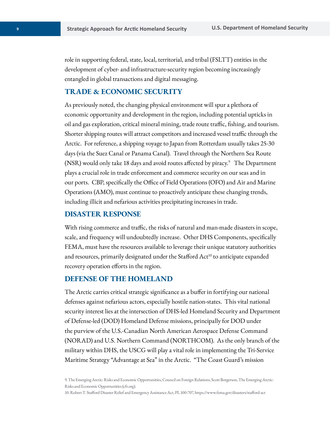role in supporting federal, state, local, territorial, and tribal (FSLTT) entities in the development of cyber- and infrastructure-security region becoming increasingly entangled in global transactions and digital messaging.

#### **TRADE & ECONOMIC SECURITY**

As previously noted, the changing physical environment will spur a plethora of economic opportunity and development in the region, including potential upticks in oil and gas exploration, critical mineral mining, trade route traffic, fishing, and tourism. Shorter shipping routes will attract competitors and increased vessel traffic through the Arctic. For reference, a shipping voyage to Japan from Rotterdam usually takes 25-30 days (via the Suez Canal or Panama Canal). Travel through the Northern Sea Route (NSR) would only take 18 days and avoid routes affected by piracy. $\degree$  The Department plays a crucial role in trade enforcement and commerce security on our seas and in our ports. CBP, specifically the Office of Field Operations (OFO) and Air and Marine Operations (AMO), must continue to proactively anticipate these changing trends, including illicit and nefarious activities precipitating increases in trade.

#### **DISASTER RESPONSE**

With rising commerce and traffic, the risks of natural and man-made disasters in scope, scale, and frequency will undoubtedly increase. Other DHS Components, specifically FEMA, must have the resources available to leverage their unique statutory authorities and resources, primarily designated under the Stafford Act<sup>10</sup> to anticipate expanded recovery operation efforts in the region.

#### **DEFENSE OF THE HOMELAND**

The Arctic carries critical strategic significance as a buffer in fortifying our national defenses against nefarious actors, especially hostile nation-states. This vital national security interest lies at the intersection of DHS-led Homeland Security and Department of Defense-led (DOD) Homeland Defense missions, principally for DOD under the purview of the U.S.-Canadian North American Aerospace Defense Command (NORAD) and U.S. Northern Command (NORTHCOM). As the only branch of the military within DHS, the USCG will play a vital role in implementing the Tri-Service Maritime Strategy "Advantage at Sea" in the Arctic. "The Coast Guard's mission

<sup>9.</sup> The Emerging Arctic: Risks and Economic Opportunities, Council on Foreign Relations, Scott Borgerson, The Emerging Arctic: Risks and Economic Opportunities (cfr.org).

<sup>10.</sup> Robert T. Stafford Disaster Relief and Emergency Assistance Act, PL 100-707, <https://www.fema.gov/disasters/stafford-act>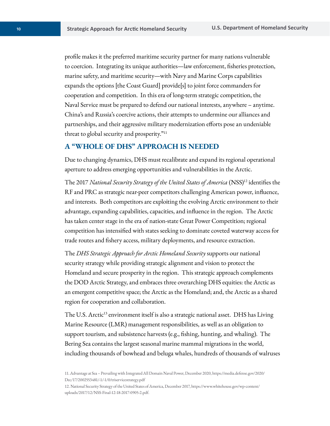profile makes it the preferred maritime security partner for many nations vulnerable to coercion. Integrating its unique authorities—law enforcement, fisheries protection, marine safety, and maritime security—with Navy and Marine Corps capabilities expands the options [the Coast Guard] provide[s] to joint force commanders for cooperation and competition. In this era of long-term strategic competition, the Naval Service must be prepared to defend our national interests, anywhere – anytime. China's and Russia's coercive actions, their attempts to undermine our alliances and partnerships, and their aggressive military modernization efforts pose an undeniable threat to global security and prosperity."11

#### **A "WHOLE OF DHS" APPROACH IS NEEDED**

Due to changing dynamics, DHS must recalibrate and expand its regional operational aperture to address emerging opportunities and vulnerabilities in the Arctic.

The 2017 *National Security Strategy of the United States of America* (NSS)<sup>12</sup> identifies the RF and PRC as strategic near-peer competitors challenging American power, influence, and interests. Both competitors are exploiting the evolving Arctic environment to their advantage, expanding capabilities, capacities, and influence in the region. The Arctic has taken center stage in the era of nation-state Great Power Competition; regional competition has intensified with states seeking to dominate coveted waterway access for trade routes and fishery access, military deployments, and resource extraction.

The *DHS Strategic Approach for Arctic Homeland Security* supports our national security strategy while providing strategic alignment and vision to protect the Homeland and secure prosperity in the region. This strategic approach complements the DOD Arctic Strategy, and embraces three overarching DHS equities: the Arctic as an emergent competitive space; the Arctic as the Homeland; and, the Arctic as a shared region for cooperation and collaboration.

The U.S. Arctic<sup>13</sup> environment itself is also a strategic national asset. DHS has Living Marine Resource (LMR) management responsibilities, as well as an obligation to support tourism, and subsistence harvests (e.g., fishing, hunting, and whaling). The Bering Sea contains the largest seasonal marine mammal migrations in the world, including thousands of bowhead and beluga whales, hundreds of thousands of walruses

<sup>11.</sup> Advantage at Sea – Prevailing with Integrated All Domain Naval Power, December 2020,<https://media.defense.gov/2020>/ Dec/17/2002553481/-1/-1/0/triservicestrategy.pdf 

<sup>12.</sup> National Security Strategy of the United States of America, December 2017, [https://www.whitehouse.gov/wp-content/](https://www.whitehouse.gov/wp-content) uploads/2017/12/NSS-Final-12-18-2017-0905-2.pdf.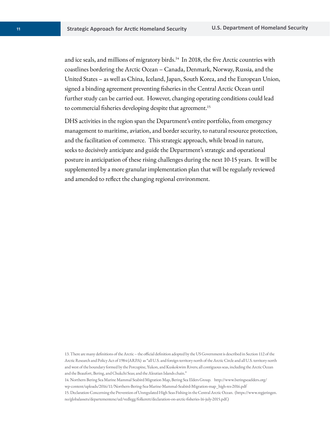and ice seals, and millions of migratory [birds.](https://birds.14)<sup>14</sup> In 2018, the five Arctic countries with coastlines bordering the Arctic Ocean – Canada, Denmark, Norway, Russia, and the United States – as well as China, Iceland, Japan, South Korea, and the European Union, signed a binding agreement preventing fisheries in the Central Arctic Ocean until further study can be carried out. However, changing operating conditions could lead to commercial fisheries developing despite that [agreement.](https://agreement.15)<sup>15</sup>

DHS activities in the region span the Department's entire portfolio, from emergency management to maritime, aviation, and border security, to natural resource protection, and the facilitation of commerce. This strategic approach, while broad in nature, seeks to decisively anticipate and guide the Department's strategic and operational posture in anticipation of these rising challenges during the next 10-15 years. It will be supplemented by a more granular implementation plan that will be regularly reviewed and amended to reflect the changing regional environment.

13. There are many definitions of the Arctic – the official definition adopted by the US Government is described in Section 112 of the Arctic Research and Policy Act of 1984 (ARPA) as "all U.S. and foreign territory north of the Arctic Circle and all U.S. territory north and west of the boundary formed by the Porcupine, Yukon, and Kuskokwim Rivers; all contiguous seas, including the Arctic Ocean and the Beaufort, Bering, and Chukchi Seas; and the Aleutian Islands chain."

14. Northern Bering Sea Marine Mammal Seabird Migration Map, Bering Sea Elders Group. <http://www.beringseaelders.org>/ wp-content/uploads/2016/11/Northern-Bering-Sea-Marine-Mammal-Seabird-Migration-map\_high-res-2016.pdf 

15.Declaration Concerning the Prevention of Unregulated High Seas Fishing in the Central Arctic Ocean. [\(https://www.regjeringen](https://www.regjeringen). no/globalassets/departementene/ud/vedlegg/folkerett/declaration-on-arctic-fisheries-16-july-2015.pdf.)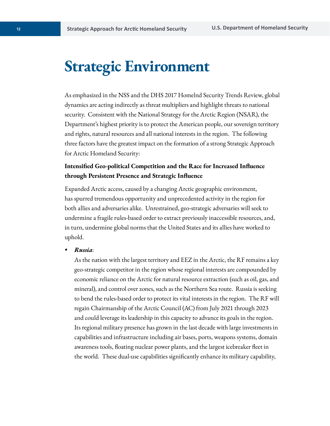### **Strategic Environment**

As emphasized in the NSS and the DHS 2017 Homelnd Security Trends Review, global dynamics are acting indirectly as threat multipliers and highlight threats to national security. Consistent with the National Strategy for the Arctic Region (NSAR), the Department's highest priority is to protect the American people, our sovereign territory and rights, natural resources and all national interests in the region. The following three factors have the greatest impact on the formation of a strong Strategic Approach for Arctic Homeland Security:

#### **Intensified Geo-political Competition and the Race for Increased Influence through Persistent Presence and Strategic Influence**

Expanded Arctic access, caused by a changing Arctic geographic environment, has spurred tremendous opportunity and unprecedented activity in the region for both allies and adversaries alike. Unrestrained, geo-strategic adversaries will seek to undermine a fragile rules-based order to extract previously inaccessible resources, and, in turn, undermine global norms that the United States and its allies have worked to uphold.

*• Russia*:

As the nation with the largest territory and EEZ in the Arctic, the RF remains a key geo-strategic competitor in the region whose regional interests are compounded by economic reliance on the Arctic for natural resource extraction (such as oil, gas, and mineral), and control over zones, such as the Northern Sea route. Russia is seeking to bend the rules-based order to protect its vital interests in the region. The RF will regain Chairmanship of the Arctic Council (AC) from July 2021 through 2023 and could leverage its leadership in this capacity to advance its goals in the region. Its regional military presence has grown in the last decade with large investments in capabilities and infrastructure including air bases, ports, weapons systems, domain awareness tools, floating nuclear power plants, and the largest icebreaker fleet in the world. These dual-use capabilities significantly enhance its military capability,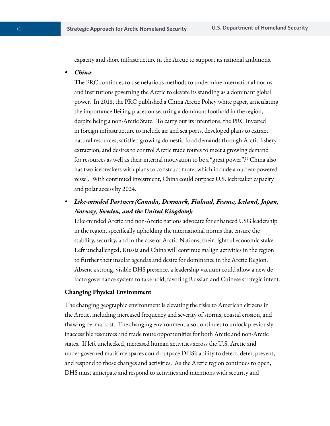capacity and shore infrastructure in the Arctic to support its national ambitions.

*• China*:

The PRC continues to use nefarious methods to undermine international norms and institutions governing the Arctic to elevate its standing as a dominant global power. In 2018, the PRC published a China Arctic Policy white paper, articulating the importance Beijing places on securing a dominant foothold in the region, despite being a non-Arctic State. To carry out its intentions, the PRC invested in foreign infrastructure to include air and sea ports, developed plans to extract natural resources, satisfied growing domestic food demands through Arctic fishery extraction, and desires to control Arctic trade routes to meet a growing demand for resources as well as their internal motivation to be a "great [power".16](https://power�.16) China also has two icebreakers with plans to construct more, which include a nuclear-powered vessel. With continued investment, China could outpace U.S. icebreaker capacity and polar access by 2024. 

*• Like-minded Partners (Canada, Denmark, Finland, France, Iceland, Japan, Norway, Sweden, and the United Kingdom):* 

Like-minded Arctic and non-Arctic nations advocate for enhanced USG leadership in the region, specifically upholding the international norms that ensure the stability, security, and in the case of Arctic Nations, their rightful economic stake. Left unchallenged, Russia and China will continue malign activities in the region to further their insular agendas and desire for dominance in the Arctic Region. Absent a strong, visible DHS presence, a leadership vacuum could allow a new de facto governance system to take hold, favoring Russian and Chinese strategic intent.

#### **Changing Physical Environment**

The changing geographic environment is elevating the risks to American citizens in the Arctic, including increased frequency and severity of storms, coastal erosion, and thawing permafrost. The changing environment also continues to unlock previously inaccessible resources and trade route opportunities for both Arctic and non-Arctic states. If left unchecked, increased human activities across the U.S. Arctic and under-governed maritime spaces could outpace DHS's ability to detect, deter, prevent, and respond to those changes and activities. As the Arctic region continues to open, DHS must anticipate and respond to activities and intentions with security and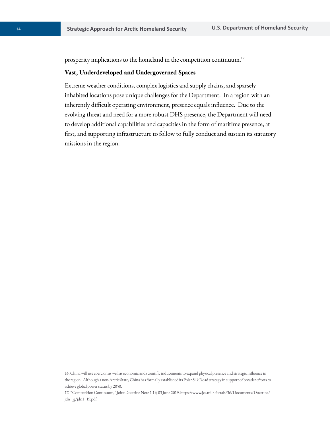prosperity implications to the homeland in the competition [continuum.](https://continuum.17)<sup>17</sup>

#### **Vast, Underdeveloped and Undergoverned Spaces**

Extreme weather conditions, complex logistics and supply chains, and sparsely inhabited locations pose unique challenges for the Department. In a region with an inherently difficult operating environment, presence equals influence. Due to the evolving threat and need for a more robust DHS presence, the Department will need to develop additional capabilities and capacities in the form of maritime presence, at first, and supporting infrastructure to follow to fully conduct and sustain its statutory missions in the region.

<sup>16.</sup> China will use coercion as well as economic and scientific inducements to expand physical presence and strategic influence in the region. Although a non-Arctic State, China has formally established its Polar Silk Road strategy in support of broader efforts to achieve global power status by 2050.

<sup>17. &</sup>quot;Competition Continuum," Joint Doctrine Note 1-19, 03 June 2019, <https://www.jcs.mil/Portals/36/Documents/Doctrine>/ jdn\_jg/jdn1\_19.pdf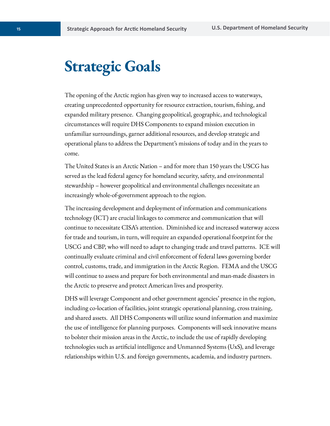# **Strategic Goals**

The opening of the Arctic region has given way to increased access to waterways, creating unprecedented opportunity for resource extraction, tourism, fishing, and expanded military presence. Changing geopolitical, geographic, and technological circumstances will require DHS Components to expand mission execution in unfamiliar surroundings, garner additional resources, and develop strategic and operational plans to address the Department's missions of today and in the years to come.

The United States is an Arctic Nation – and for more than 150 years the USCG has served as the lead federal agency for homeland security, safety, and environmental stewardship – however geopolitical and environmental challenges necessitate an increasingly whole-of-government approach to the region.

The increasing development and deployment of information and communications technology (ICT) are crucial linkages to commerce and communication that will continue to necessitate CISA's attention. Diminished ice and increased waterway access for trade and tourism, in turn, will require an expanded operational footprint for the USCG and CBP, who will need to adapt to changing trade and travel patterns. ICE will continually evaluate criminal and civil enforcement of federal laws governing border control, customs, trade, and immigration in the Arctic Region. FEMA and the USCG will continue to assess and prepare for both environmental and man-made disasters in the Arctic to preserve and protect American lives and prosperity.

DHS will leverage Component and other government agencies' presence in the region, including co-location of facilities, joint strategic operational planning, cross training, and shared assets. All DHS Components will utilize sound information and maximize the use of intelligence for planning purposes. Components will seek innovative means to bolster their mission areas in the Arctic, to include the use of rapidly developing technologies such as artificial intelligence and Unmanned Systems (UxS), and leverage relationships within U.S. and foreign governments, academia, and industry partners.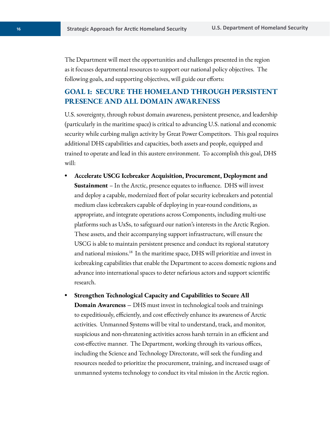The Department will meet the opportunities and challenges presented in the region as it focuses departmental resources to support our national policy objectives. The following goals, and supporting objectives, will guide our efforts:

#### **GOAL 1: SECURE THE HOMELAND THROUGH PERSISTENT PRESENCE AND ALL DOMAIN AWARENESS**

U.S. sovereignty, through robust domain awareness, persistent presence, and leadership (particularly in the maritime space) is critical to advancing U.S. national and economic security while curbing malign activity by Great Power Competitors. This goal requires additional DHS capabilities and capacities, both assets and people, equipped and trained to operate and lead in this austere environment. To accomplish this goal, DHS will:

- **Accelerate USCG Icebreaker Acquisition, Procurement, Deployment and Sustainment** – In the Arctic, presence equates to influence. DHS will invest and deploy a capable, modernized fleet of polar security icebreakers and potential medium class icebreakers capable of deploying in year-round conditions, as appropriate, and integrate operations across Components, including multi-use platforms such as UxSs, to safeguard our nation's interests in the Arctic Region. These assets, and their accompanying support infrastructure, will ensure the USCG is able to maintain persistent presence and conduct its regional statutory and national [missions.](https://missions.18)<sup>18</sup> In the maritime space, DHS will prioritize and invest in icebreaking capabilities that enable the Department to access domestic regions and advance into international spaces to deter nefarious actors and support scientific research.
- **Strengthen Technological Capacity and Capabilities to Secure All Domain Awareness –** DHS must invest in technological tools and trainings to expeditiously, efficiently, and cost effectively enhance its awareness of Arctic activities. Unmanned Systems will be vital to understand, track, and monitor, suspicious and non-threatening activities across harsh terrain in an efficient and cost-effective manner. The Department, working through its various offices, including the Science and Technology Directorate, will seek the funding and resources needed to prioritize the procurement, training, and increased usage of unmanned systems technology to conduct its vital mission in the Arctic region.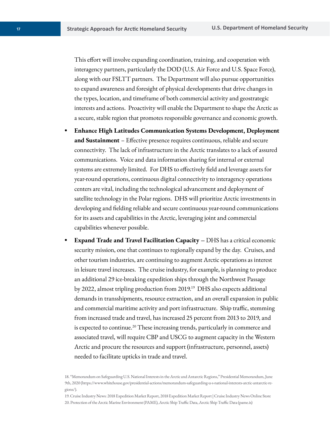This effort will involve expanding coordination, training, and cooperation with interagency partners, particularly the DOD (U.S. Air Force and U.S. Space Force), along with our FSLTT partners. The Department will also pursue opportunities to expand awareness and foresight of physical developments that drive changes in the types, location, and timeframe of both commercial activity and geostrategic interests and actions. Proactivity will enable the Department to shape the Arctic as a secure, stable region that promotes responsible governance and economic growth.

- **Enhance High Latitudes Communication Systems Development, Deployment and Sustainment** – Effective presence requires continuous, reliable and secure connectivity. The lack of infrastructure in the Arctic translates to a lack of assured communications. Voice and data information sharing for internal or external systems are extremely limited. For DHS to effectively field and leverage assets for year-round operations, continuous digital connectivity to interagency operations centers are vital, including the technological advancement and deployment of satellite technology in the Polar regions. DHS will prioritize Arctic investments in developing and fielding reliable and secure continuous year-round communications for its assets and capabilities in the Arctic, leveraging joint and commercial capabilities whenever possible.
- **Expand Trade and Travel Facilitation Capacity –** DHS has a critical economic security mission, one that continues to regionally expand by the day. Cruises, and other tourism industries, are continuing to augment Arctic operations as interest in leisure travel increases. The cruise industry, for example, is planning to produce an additional 29 ice-breaking expedition ships through the Northwest Passage by 2022, almost tripling production from 2019.19 DHS also expects additional demands in transshipments, resource extraction, and an overall expansion in public and commercial maritime activity and port infrastructure. Ship traffic, stemming from increased trade and travel, has increased 25 percent from 2013 to 2019, and is expected to continue.<sup>20</sup> These increasing trends, particularly in commerce and associated travel, will require CBP and USCG to augment capacity in the Western Arctic and procure the resources and support (infrastructure, personnel, assets) needed to facilitate upticks in trade and travel.

<sup>18. &</sup>quot;Memorandum on Safeguarding U.S. National Interests in the Arctic and Antarctic Regions," Presidential Memorandum, June 9th, 2020 [\(https://www.whitehouse.gov/presidential-actions/memorandum-safeguarding-u-s-national-interests-arctic-antarctic-re](https://www.whitehouse.gov/presidential-actions/memorandum-safeguarding-u-s-national-interests-arctic-antarctic-re)gions/).

<sup>19.</sup> Cruise Industry News: 2018 Expedition Market Report, 2018 Expedition Market Report | Cruise Industry News Online Store 20. Protection of the Arctic Marine Environment (PAME), Arctic Ship Traffic Data, Arctic Ship Traffic Data (pame.is)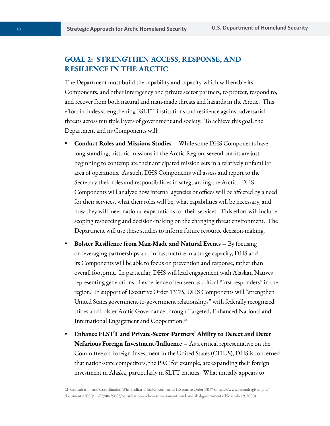#### **GOAL 2: STRENGTHEN ACCESS, RESPONSE, AND RESILIENCE IN THE ARCTIC**

The Department must build the capability and capacity which will enable its Components, and other interagency and private sector partners, to protect, respond to, and recover from both natural and man-made threats and hazards in the Arctic. This effort includes strengthening FSLTT institutions and resilience against adversarial threats across multiple layers of government and society. To achieve this goal, the Department and its Components will:

- **Conduct Roles and Missions Studies** While some DHS Components have long-standing, historic missions in the Arctic Region, several outfits are just beginning to contemplate their anticipated mission sets in a relatively unfamiliar area of operations. As such, DHS Components will assess and report to the Secretary their roles and responsibilities in safeguarding the Arctic. DHS Components will analyze how internal agencies or offices will be affected by a need for their services, what their roles will be, what capabilities will be necessary, and how they will meet national expectations for their services. This effort will include scoping resourcing and decision-making on the changing threat environment. The Department will use these studies to inform future resource decision-making.
- **Bolster Resilience from Man-Made and Natural Events** By focusing on leveraging partnerships and infrastructure in a surge capacity, DHS and its Components will be able to focus on prevention and response, rather than overall footprint. In particular, DHS will lead engagement with Alaskan Natives representing generations of experience often seen as critical "first responders" in the region. In support of Executive Order 13175, DHS Components will "strengthen United States government-to-government relationships" with federally recognized tribes and bolster Arctic Governance through Targeted, Enhanced National and International Engagement and [Cooperation.21](https://Cooperation.21)
- **Enhance FLSTT and Private-Sector Partners' Ability to Detect and Deter Nefarious Foreign Investment/Influence –** As a critical representative on the Committee on Foreign Investment in the United States (CFIUS), DHS is concerned that nation-state competitors, the PRC for example, are expanding their foreign investment in Alaska, particularly in SLTT entities. What initially appears to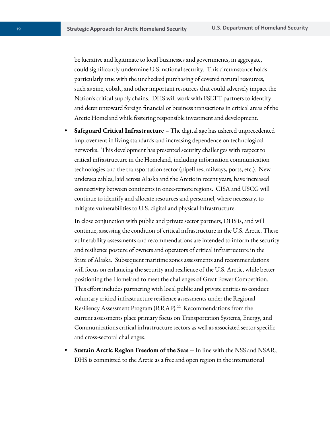be lucrative and legitimate to local businesses and governments, in aggregate, could significantly undermine U.S. national security. This circumstance holds particularly true with the unchecked purchasing of coveted natural resources, such as zinc, cobalt, and other important resources that could adversely impact the Nation's critical supply chains. DHS will work with FSLTT partners to identify and deter untoward foreign financial or business transactions in critical areas of the Arctic Homeland while fostering responsible investment and development.

**• Safeguard Critical Infrastructure** – The digital age has ushered unprecedented improvement in living standards and increasing dependence on technological networks. This development has presented security challenges with respect to critical infrastructure in the Homeland, including information communication technologies and the transportation sector (pipelines, railways, ports, etc.). New undersea cables, laid across Alaska and the Arctic in recent years, have increased connectivity between continents in once-remote regions. CISA and USCG will continue to identify and allocate resources and personnel, where necessary, to mitigate vulnerabilities to U.S. digital and physical infrastructure.

In close conjunction with public and private sector partners, DHS is, and will continue, assessing the condition of critical infrastructure in the U.S. Arctic. These vulnerability assessments and recommendations are intended to inform the security and resilience posture of owners and operators of critical infrastructure in the State of Alaska. Subsequent maritime zones assessments and recommendations will focus on enhancing the security and resilience of the U.S. Arctic, while better positioning the Homeland to meet the challenges of Great Power Competition. This effort includes partnering with local public and private entities to conduct voluntary critical infrastructure resilience assessments under the Regional Resiliency Assessment Program ([RRAP\).22](https://RRAP).22) Recommendations from the current assessments place primary focus on Transportation Systems, Energy, and Communications critical infrastructure sectors as well as associated sector-specific and cross-sectoral challenges.

**• Sustain Arctic Region Freedom of the Seas –** In line with the NSS and NSAR, DHS is committed to the Arctic as a free and open region in the international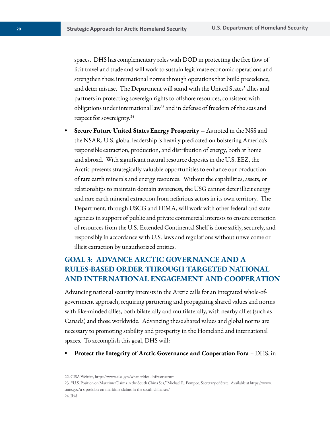spaces. DHS has complementary roles with DOD in protecting the free flow of licit travel and trade and will work to sustain legitimate economic operations and strengthen these international norms through operations that build precedence, and deter misuse. The Department will stand with the United States' allies and partners in protecting sovereign rights to offshore resources, consistent with obligations under international law<sup>23</sup> and in defense of freedom of the seas and respect for [sovereignty.](https://sovereignty.24)<sup>24</sup>

**• Secure Future United States Energy Prosperity –** As noted in the NSS and the NSAR, U.S. global leadership is heavily predicated on bolstering America's responsible extraction, production, and distribution of energy, both at home and abroad. With significant natural resource deposits in the U.S. EEZ, the Arctic presents strategically valuable opportunities to enhance our production of rare earth minerals and energy resources. Without the capabilities, assets, or relationships to maintain domain awareness, the USG cannot deter illicit energy and rare earth mineral extraction from nefarious actors in its own territory. The Department, through USCG and FEMA, will work with other federal and state agencies in support of public and private commercial interests to ensure extraction of resources from the U.S. Extended Continental Shelf is done safely, securely, and responsibly in accordance with U.S. laws and regulations without unwelcome or illicit extraction by unauthorized entities.

#### **GOAL 3: ADVANCE ARCTIC GOVERNANCE AND A RULES-BASED ORDER THROUGH TARGETED NATIONAL AND INTERNATIONAL ENGAGEMENT AND COOPERATION**

Advancing national security interests in the Arctic calls for an integrated whole-ofgovernment approach, requiring partnering and propagating shared values and norms with like-minded allies, both bilaterally and multilaterally, with nearby allies (such as Canada) and those worldwide. Advancing these shared values and global norms are necessary to promoting stability and prosperity in the Homeland and international spaces. To accomplish this goal, DHS will:

**• Protect the Integrity of Arctic Governance and Cooperation Fora** – DHS, in

22. CISA Website,<https://www.cisa.gov/what-critical-infrastructure> 23. "U.S. Position on Maritime Claims in the South China Sea," Michael R. Pompeo, Secretary of State. Available at [https://www.](https://www) [state.gov/u-s-position-on-maritime-claims-in-the-south-china-sea](https://state.gov/u-s-position-on-maritime-claims-in-the-south-china-sea)/ 24. Ibid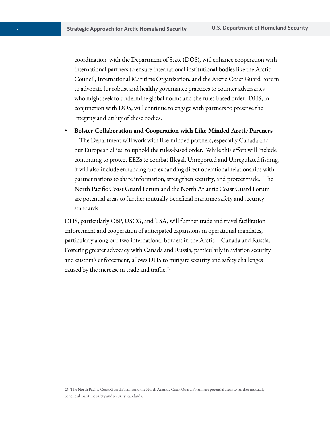coordination with the Department of State (DOS), will enhance cooperation with international partners to ensure international institutional bodies like the Arctic Council, International Maritime Organization, and the Arctic Coast Guard Forum to advocate for robust and healthy governance practices to counter adversaries who might seek to undermine global norms and the rules-based order. DHS, in conjunction with DOS, will continue to engage with partners to preserve the integrity and utility of these bodies.

**• Bolster Collaboration and Cooperation with Like-Minded Arctic Partners**  – The Department will work with like-minded partners, especially Canada and our European allies, to uphold the rules-based order. While this effort will include continuing to protect EEZs to combat Illegal, Unreported and Unregulated fishing, it will also include enhancing and expanding direct operational relationships with partner nations to share information, strengthen security, and protect trade. The North Pacific Coast Guard Forum and the North Atlantic Coast Guard Forum are potential areas to further mutually beneficial maritime safety and security standards.

DHS, particularly CBP, USCG, and TSA, will further trade and travel facilitation enforcement and cooperation of anticipated expansions in operational mandates, particularly along our two international borders in the Arctic – Canada and Russia. Fostering greater advocacy with Canada and Russia, particularly in aviation security and custom's enforcement, allows DHS to mitigate security and safety challenges caused by the increase in trade and [traffic.](https://traffic.25)<sup>25</sup>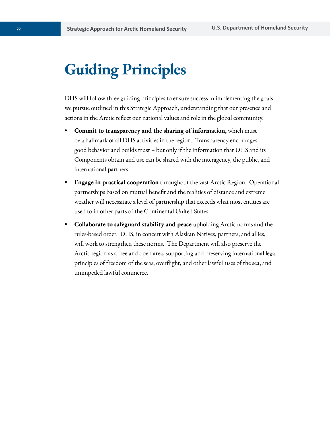# **Guiding Principles**

DHS will follow three guiding principles to ensure success in implementing the goals we pursue outlined in this Strategic Approach, understanding that our presence and actions in the Arctic reflect our national values and role in the global community. 

- **Commit to transparency and the sharing of information,** which must be a hallmark of all DHS activities in the region. Transparency encourages good behavior and builds trust – but only if the information that DHS and its Components obtain and use can be shared with the interagency, the public, and international partners.
- **Engage in practical cooperation** throughout the vast Arctic Region. Operational partnerships based on mutual benefit and the realities of distance and extreme weather will necessitate a level of partnership that exceeds what most entities are used to in other parts of the Continental United States.
- **Collaborate to safeguard stability and peace** upholding Arctic norms and the rules-based order. DHS, in concert with Alaskan Natives, partners, and allies, will work to strengthen these norms. The Department will also preserve the Arctic region as a free and open area, supporting and preserving international legal principles of freedom of the seas, overflight, and other lawful uses of the sea, and unimpeded lawful commerce.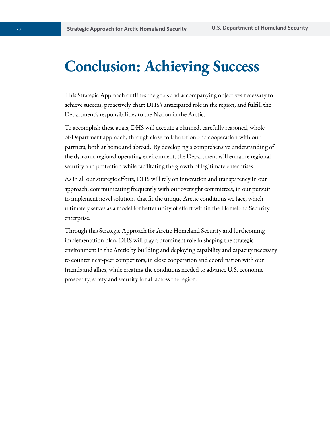### **Conclusion: Achieving Success**

This Strategic Approach outlines the goals and accompanying objectives necessary to achieve success, proactively chart DHS's anticipated role in the region, and fulfill the Department's responsibilities to the Nation in the Arctic.

To accomplish these goals, DHS will execute a planned, carefully reasoned, wholeof-Department approach, through close collaboration and cooperation with our partners, both at home and abroad. By developing a comprehensive understanding of the dynamic regional operating environment, the Department will enhance regional security and protection while facilitating the growth of legitimate enterprises.

As in all our strategic efforts, DHS will rely on innovation and transparency in our approach, communicating frequently with our oversight committees, in our pursuit to implement novel solutions that fit the unique Arctic conditions we face, which ultimately serves as a model for better unity of effort within the Homeland Security

enterprise.<br>Through this Strategic Approach for Arctic Homeland Security and forthcoming implementation plan, DHS will play a prominent role in shaping the strategic environment in the Arctic by building and deploying capability and capacity necessary to counter near-peer competitors, in close cooperation and coordination with our friends and allies, while creating the conditions needed to advance U.S. economic prosperity, safety and security for all across the region.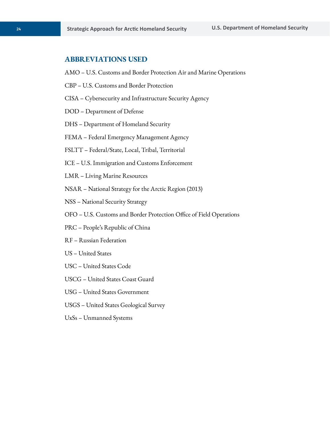#### **ABBREVIATIONS USED**

- AMO U.S. Customs and Border Protection Air and Marine Operations
- CBP U.S. Customs and Border Protection
- CISA Cybersecurity and Infrastructure Security Agency
- DOD Department of Defense
- DHS Department of Homeland Security
- FEMA Federal Emergency Management Agency
- FSLTT Federal/State, Local, Tribal, Territorial
- ICE U.S. Immigration and Customs Enforcement
- LMR Living Marine Resources
- NSAR National Strategy for the Arctic Region (2013)
- NSS National Security Strategy
- OFO U.S. Customs and Border Protection Office of Field Operations
- PRC People's Republic of China
- RF Russian Federation
- US United States
- USC United States Code
- USCG United States Coast Guard
- USG United States Government
- USGS United States Geological Survey
- UxSs Unmanned Systems